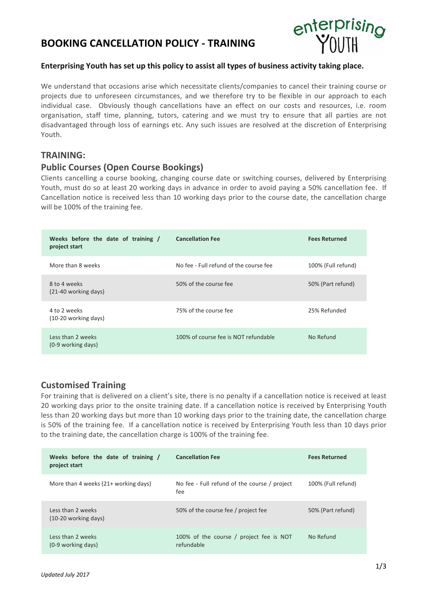# **BOOKING CANCELLATION POLICY - TRAINING**



### Enterprising Youth has set up this policy to assist all types of business activity taking place.

We understand that occasions arise which necessitate clients/companies to cancel their training course or projects due to unforeseen circumstances, and we therefore try to be flexible in our approach to each individual case. Obviously though cancellations have an effect on our costs and resources, i.e. room organisation, staff time, planning, tutors, catering and we must try to ensure that all parties are not disadvantaged through loss of earnings etc. Any such issues are resolved at the discretion of Enterprising Youth.

## **TRAINING:**

## **Public Courses (Open Course Bookings)**

Clients cancelling a course booking, changing course date or switching courses, delivered by Enterprising Youth, must do so at least 20 working days in advance in order to avoid paying a 50% cancellation fee. If Cancellation notice is received less than 10 working days prior to the course date, the cancellation charge will be 100% of the training fee.

| Weeks before the date of training /<br>project start | <b>Cancellation Fee</b>                | <b>Fees Returned</b> |
|------------------------------------------------------|----------------------------------------|----------------------|
| More than 8 weeks                                    | No fee - Full refund of the course fee | 100% (Full refund)   |
| 8 to 4 weeks<br>(21-40 working days)                 | 50% of the course fee                  | 50% (Part refund)    |
| 4 to 2 weeks<br>(10-20 working days)                 | 75% of the course fee                  | 25% Refunded         |
| Less than 2 weeks<br>(0-9 working days)              | 100% of course fee is NOT refundable   | No Refund            |

# **Customised Training**

For training that is delivered on a client's site, there is no penalty if a cancellation notice is received at least 20 working days prior to the onsite training date. If a cancellation notice is received by Enterprising Youth less than 20 working days but more than 10 working days prior to the training date, the cancellation charge is 50% of the training fee. If a cancellation notice is received by Enterprising Youth less than 10 days prior to the training date, the cancellation charge is 100% of the training fee.

| Weeks before the date of training /<br>project start | <b>Cancellation Fee</b>                               | <b>Fees Returned</b> |
|------------------------------------------------------|-------------------------------------------------------|----------------------|
| More than 4 weeks (21+ working days)                 | No fee - Full refund of the course / project<br>fee   | 100% (Full refund)   |
| Less than 2 weeks<br>(10-20 working days)            | 50% of the course fee / project fee                   | 50% (Part refund)    |
| Less than 2 weeks<br>(0-9 working days)              | 100% of the course / project fee is NOT<br>refundable | No Refund            |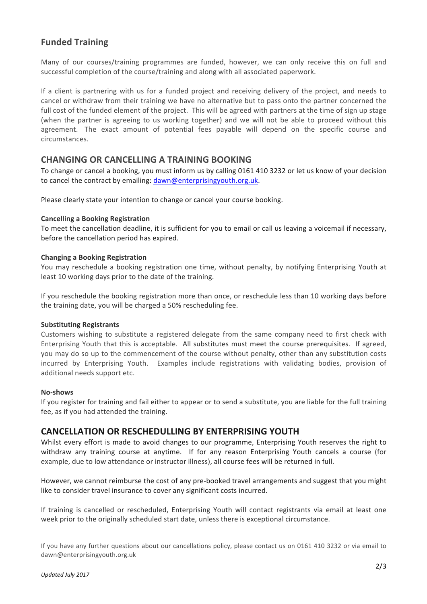# **Funded Training**

Many of our courses/training programmes are funded, however, we can only receive this on full and successful completion of the course/training and along with all associated paperwork.

If a client is partnering with us for a funded project and receiving delivery of the project, and needs to cancel or withdraw from their training we have no alternative but to pass onto the partner concerned the full cost of the funded element of the project. This will be agreed with partners at the time of sign up stage (when the partner is agreeing to us working together) and we will not be able to proceed without this agreement. The exact amount of potential fees payable will depend on the specific course and circumstances.

## **CHANGING OR CANCELLING A TRAINING BOOKING**

To change or cancel a booking, you must inform us by calling 0161 410 3232 or let us know of your decision to cancel the contract by emailing: dawn@enterprisingyouth.org.uk.

Please clearly state your intention to change or cancel your course booking.

#### **Cancelling a Booking Registration**

To meet the cancellation deadline, it is sufficient for you to email or call us leaving a voicemail if necessary, before the cancellation period has expired.

#### **Changing a Booking Registration**

You may reschedule a booking registration one time, without penalty, by notifying Enterprising Youth at least 10 working days prior to the date of the training.

If you reschedule the booking registration more than once, or reschedule less than 10 working days before the training date, you will be charged a 50% rescheduling fee.

#### **Substituting Registrants**

Customers wishing to substitute a registered delegate from the same company need to first check with Enterprising Youth that this is acceptable. All substitutes must meet the course prerequisites. If agreed, you may do so up to the commencement of the course without penalty, other than any substitution costs incurred by Enterprising Youth. Examples include registrations with validating bodies, provision of additional needs support etc.

#### **No-shows**

If you register for training and fail either to appear or to send a substitute, you are liable for the full training fee, as if you had attended the training.

### **CANCELLATION OR RESCHEDULLING BY ENTERPRISING YOUTH**

Whilst every effort is made to avoid changes to our programme, Enterprising Youth reserves the right to withdraw any training course at anytime. If for any reason Enterprising Youth cancels a course (for example, due to low attendance or instructor illness), all course fees will be returned in full.

However, we cannot reimburse the cost of any pre-booked travel arrangements and suggest that you might like to consider travel insurance to cover any significant costs incurred.

If training is cancelled or rescheduled, Enterprising Youth will contact registrants via email at least one week prior to the originally scheduled start date, unless there is exceptional circumstance.

If you have any further questions about our cancellations policy, please contact us on 0161 410 3232 or via email to dawn@enterprisingyouth.org.uk